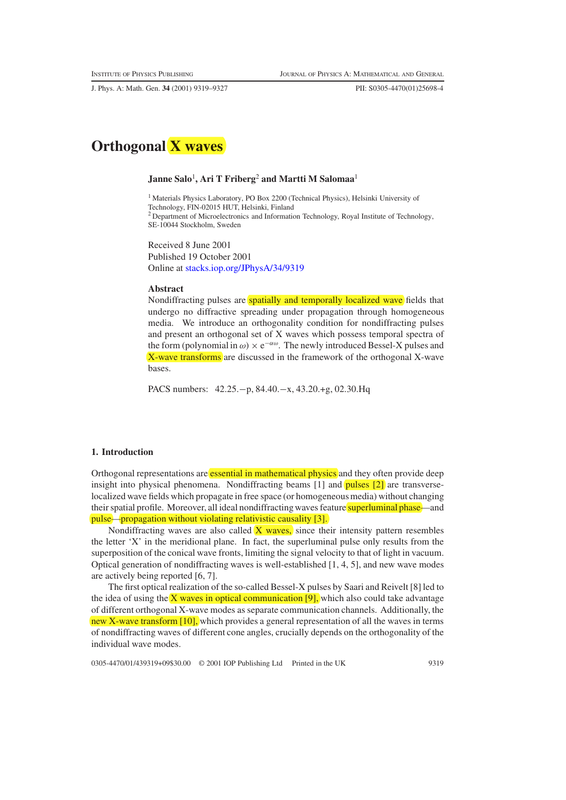J. Phys. A: Math. Gen. **34** (2001) 9319–9327 PII: S0305-4470(01)25698-4



# **Janne Salo**<sup>1</sup> **, Ari T Friberg**<sup>2</sup> **and Martti M Salomaa**<sup>1</sup>

<sup>1</sup> Materials Physics Laboratory, PO Box 2200 (Technical Physics), Helsinki University of Technology, FIN-02015 HUT, Helsinki, Finland <sup>2</sup> Department of Microelectronics and Information Technology, Royal Institute of Technology, SE-10044 Stockholm, Sweden

Received 8 June 2001 Published 19 October 2001 Online at [stacks.iop.org/JPhysA/34/9319](http://stacks.iop.org/ja/34/9319)

#### **Abstract**

Nondiffracting pulses are spatially and temporally localized wave fields that undergo no diffractive spreading under propagation through homogeneous media. We introduce an orthogonality condition for nondiffracting pulses and present an orthogonal set of X waves which possess temporal spectra of the form (polynomial in  $\omega$ ) × e<sup> $-\alpha\omega$ </sup>. The newly introduced Bessel-X pulses and  $\overline{X}$ -wave transforms are discussed in the framework of the orthogonal  $X$ -wave bases.

PACS numbers: 42.25.−p, 84.40.−x, 43.20.+g, 02.30.Hq

# **1. Introduction**

Orthogonal representations are essential in mathematical physics and they often provide deep insight into physical phenomena. Nondiffracting beams [1] and pulses [2] are transverselocalized wave fields which propagate in free space (or homogeneous media) without changing their spatial profile. Moreover, all ideal nondiffracting waves feature superluminal phase—and pulse—propagation without violating relativistic causality [3].

Nondiffracting waves are also called  $(X$  waves, since their intensity pattern resembles the letter 'X' in the meridional plane. In fact, the superluminal pulse only results from the superposition of the conical wave fronts, limiting the signal velocity to that of light in vacuum. Optical generation of nondiffracting waves is well-established [1, 4, 5], and new wave modes are actively being reported [6, 7].

The first optical realization of the so-called Bessel-X pulses by Saari and Reivelt [8] led to the idea of using the  $X$  waves in optical communication [9], which also could take advantage of different orthogonal X-wave modes as separate communication channels. Additionally, the new X-wave transform [10], which provides a general representation of all the waves in terms of nondiffracting waves of different cone angles, crucially depends on the orthogonality of the individual wave modes.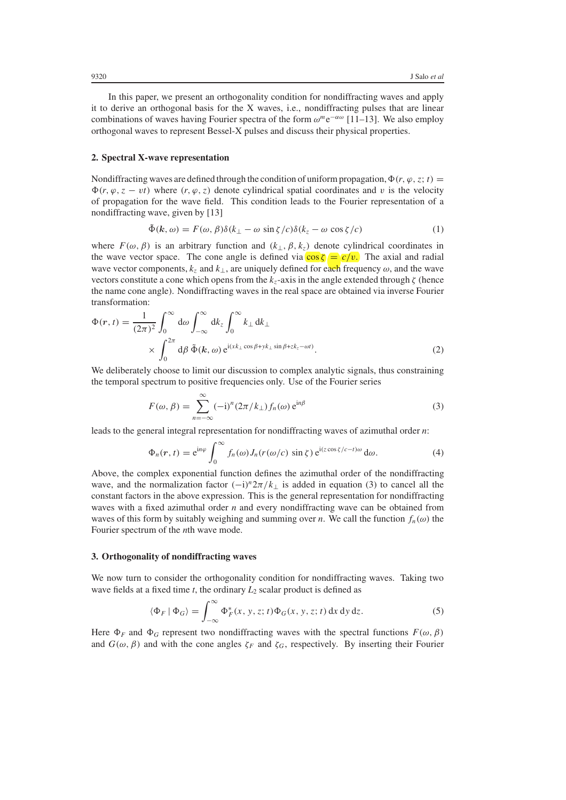In this paper, we present an orthogonality condition for nondiffracting waves and apply it to derive an orthogonal basis for the X waves, i.e., nondiffracting pulses that are linear combinations of waves having Fourier spectra of the form *ωm*e<sup>−</sup>*αω* [11–13]. We also employ orthogonal waves to represent Bessel-X pulses and discuss their physical properties.

### **2. Spectral X-wave representation**

Nondiffracting waves are defined through the condition of uniform propagation,  $\Phi(r, \varphi, z; t) =$  $\Phi(r, \varphi, z - vt)$  where  $(r, \varphi, z)$  denote cylindrical spatial coordinates and *v* is the velocity of propagation for the wave field. This condition leads to the Fourier representation of a nondiffracting wave, given by [13]

$$
\tilde{\Phi}(k,\omega) = F(\omega,\beta)\delta(k_{\perp} - \omega\sin\zeta/c)\delta(k_{z} - \omega\cos\zeta/c)
$$
 (1)

where  $F(\omega, \beta)$  is an arbitrary function and  $(k_{\perp}, \beta, k_z)$  denote cylindrical coordinates in the wave vector space. The cone angle is defined via  $\overline{\cos(\zeta)} = \overline{c/v}$ . The axial and radial wave vector components,  $k_z$  and  $k_\perp$ , are uniquely defined for each frequency  $\omega$ , and the wave vectors constitute a cone which opens from the  $k_z$ -axis in the angle extended through  $\zeta$  (hence the name cone angle). Nondiffracting waves in the real space are obtained via inverse Fourier transformation:

$$
\Phi(r,t) = \frac{1}{(2\pi)^2} \int_0^\infty d\omega \int_{-\infty}^\infty dk_z \int_0^\infty k_\perp dk_\perp \times \int_0^{2\pi} d\beta \, \tilde{\Phi}(k,\omega) e^{i(xk_\perp \cos \beta + yk_\perp \sin \beta + zk_z - \omega t)}.
$$
\n(2)

We deliberately choose to limit our discussion to complex analytic signals, thus constraining the temporal spectrum to positive frequencies only. Use of the Fourier series

$$
F(\omega, \beta) = \sum_{n=-\infty}^{\infty} (-i)^n (2\pi/k_{\perp}) f_n(\omega) e^{in\beta}
$$
 (3)

leads to the general integral representation for nondiffracting waves of azimuthal order *n*:

$$
\Phi_n(r,t) = e^{in\varphi} \int_0^\infty f_n(\omega) J_n(r(\omega/c) \sin \zeta) e^{i(z \cos \zeta/c - t)\omega} d\omega.
$$
 (4)

Above, the complex exponential function defines the azimuthal order of the nondiffracting wave, and the normalization factor  $(-i)^n 2\pi/k_{\perp}$  is added in equation (3) to cancel all the constant factors in the above expression. This is the general representation for nondiffracting waves with a fixed azimuthal order *n* and every nondiffracting wave can be obtained from waves of this form by suitably weighing and summing over *n*. We call the function  $f_n(\omega)$  the Fourier spectrum of the *n*th wave mode.

### **3. Orthogonality of nondiffracting waves**

We now turn to consider the orthogonality condition for nondiffracting waves. Taking two wave fields at a fixed time *t*, the ordinary *L*<sup>2</sup> scalar product is defined as

$$
\langle \Phi_F | \Phi_G \rangle = \int_{-\infty}^{\infty} \Phi_F^*(x, y, z; t) \Phi_G(x, y, z; t) \, dx \, dy \, dz. \tag{5}
$$

Here  $\Phi_F$  and  $\Phi_G$  represent two nondiffracting waves with the spectral functions  $F(\omega, \beta)$ and  $G(\omega, \beta)$  and with the cone angles  $\zeta_F$  and  $\zeta_G$ , respectively. By inserting their Fourier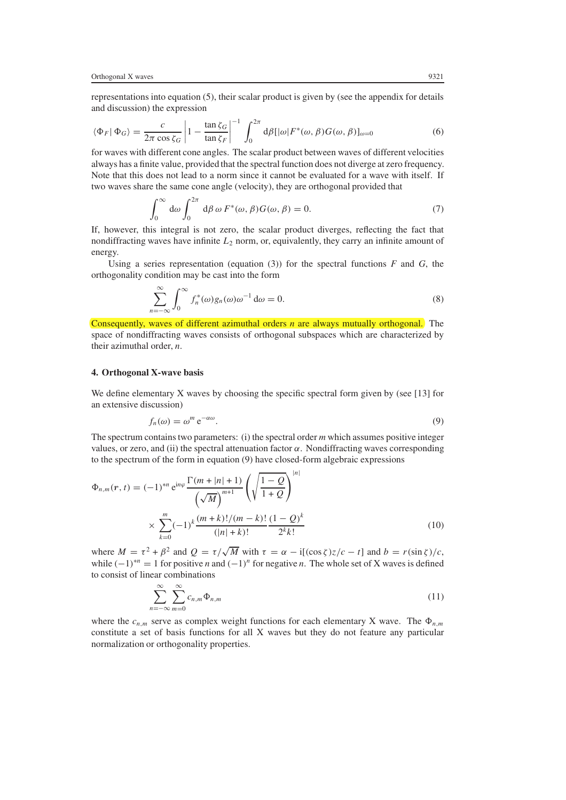representations into equation (5), their scalar product is given by (see the appendix for details and discussion) the expression

$$
\langle \Phi_F | \Phi_G \rangle = \frac{c}{2\pi \cos \zeta_G} \left| 1 - \frac{\tan \zeta_G}{\tan \zeta_F} \right|^{-1} \int_0^{2\pi} d\beta [|\omega| F^*(\omega, \beta) G(\omega, \beta)]_{\omega=0} \tag{6}
$$
  
for waves with different cone angles. The scalar product between waves of different velocities

always has a finite value, provided that the spectral function does not diverge at zero frequency. Note that this does not lead to a norm since it cannot be evaluated for a wave with itself. If two waves share the same cone angle (velocity), they are orthogonal provided that

$$
\int_0^\infty d\omega \int_0^{2\pi} d\beta \, \omega \, F^*(\omega, \beta) G(\omega, \beta) = 0. \tag{7}
$$

If, however, this integral is not zero, the scalar product diverges, reflecting the fact that nondiffracting waves have infinite *<sup>L</sup>*<sup>2</sup> norm, or, equivalently, they carry an infinite amount of energy.

Using a series representation (equation  $(3)$ ) for the spectral functions *F* and *G*, the orthogonality condition may be cast into the form

$$
\sum_{n=-\infty}^{\infty} \int_0^{\infty} f_n^*(\omega) g_n(\omega) \omega^{-1} d\omega = 0.
$$
 (8)

Consequently, waves of different azimuthal orders *n* are always mutually orthogonal. The space of nondiffracting waves consists of orthogonal subspaces which are characterized by their azimuthal order, *n*.

### **4. Orthogonal X-wave basis**

We define elementary X waves by choosing the specific spectral form given by (see [13] for an extensive discussion)

$$
f_n(\omega) = \omega^m e^{-\alpha \omega}.
$$
\n(9)

The spectrum contains two parameters: (i) the spectral order *m* which assumes positive integer values, or zero, and (ii) the spectral attenuation factor *α*. Nondiffracting waves corresponding to the spectrum of the form in equation (9) have closed-form algebraic expressions

$$
\Phi_{n,m}(r,t) = (-1)^{*n} e^{in\varphi} \frac{\Gamma(m+|n|+1)}{\left(\sqrt{M}\right)^{m+1}} \left(\sqrt{\frac{1-Q}{1+Q}}\right)^{|n|}
$$

$$
\times \sum_{k=0}^{m} (-1)^{k} \frac{(m+k)!/(m-k)!}{(|n|+k)!} \frac{(1-Q)^{k}}{2^{k}k!}
$$
(10)

where  $M = \tau^2 + \beta^2$  and  $Q = \tau/\sqrt{M}$  with  $\tau = \alpha - i[(\cos \zeta)z/c - t]$  and  $b = r(\sin \zeta)/c$ , while  $(-1)^{*n} = 1$  for positive *n* and  $(-1)^{n}$  for negative *n*. The whole set of X waves is defined to consist of linear combinations

$$
\sum_{n=-\infty}^{\infty} \sum_{m=0}^{\infty} c_{n,m} \Phi_{n,m}
$$
\n(11)

where the  $c_{n,m}$  serve as complex weight functions for each elementary X wave. The  $\Phi_{n,m}$ <br>constitute a set of basis functions for all X waves but they do not feature any particular constitute a set of basis functions for all X waves but they do not feature any particular normalization or orthogonality properties.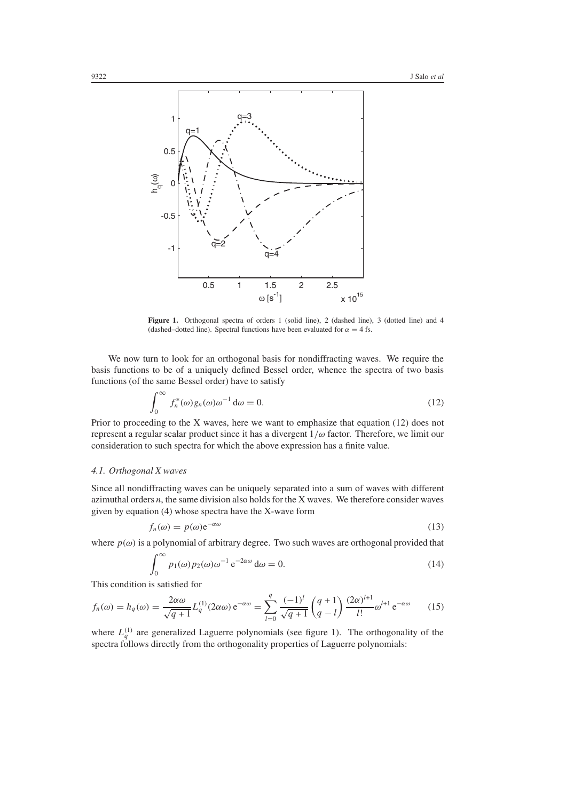

Figure 1. Orthogonal spectra of orders 1 (solid line), 2 (dashed line), 3 (dotted line) and 4 (dashed–dotted line). Spectral functions have been evaluated for  $\alpha = 4$  fs.

We now turn to look for an orthogonal basis for nondiffracting waves. We require the basis functions to be of a uniquely defined Bessel order, whence the spectra of two basis functions (of the same Bessel order) have to satisfy

$$
\int_0^\infty f_n^*(\omega)g_n(\omega)\omega^{-1}\,\mathrm{d}\omega = 0.\tag{12}
$$

Prior to proceeding to the X waves, here we want to emphasize that equation (12) does not represent a regular scalar product since it has a divergent 1*/ω* factor. Therefore, we limit our consideration to such spectra for which the above expression has a finite value.

## *4.1. Orthogonal X waves*

Since all nondiffracting waves can be uniquely separated into a sum of waves with different azimuthal orders *n*, the same division also holds for the X waves. We therefore consider waves given by equation (4) whose spectra have the X-wave form

$$
f_n(\omega) = p(\omega) e^{-\alpha \omega} \tag{13}
$$

where  $p(\omega)$  is a polynomial of arbitrary degree. Two such waves are orthogonal provided that

$$
\int_0^\infty p_1(\omega) p_2(\omega) \omega^{-1} e^{-2\alpha \omega} d\omega = 0.
$$
 (14)

This condition is satisfied for

$$
f_n(\omega) = h_q(\omega) = \frac{2\alpha\omega}{\sqrt{q+1}} L_q^{(1)}(2\alpha\omega) e^{-\alpha\omega} = \sum_{l=0}^q \frac{(-1)^l}{\sqrt{q+1}} {q+1 \choose q-l} \frac{(2\alpha)^{l+1}}{l!} \omega^{l+1} e^{-\alpha\omega}
$$
 (15)

where  $L_q^{(1)}$  are generalized Laguerre polynomials (see figure 1). The orthogonality of the spectra follows directly from the orthogonality properties of Laguerre polynomials: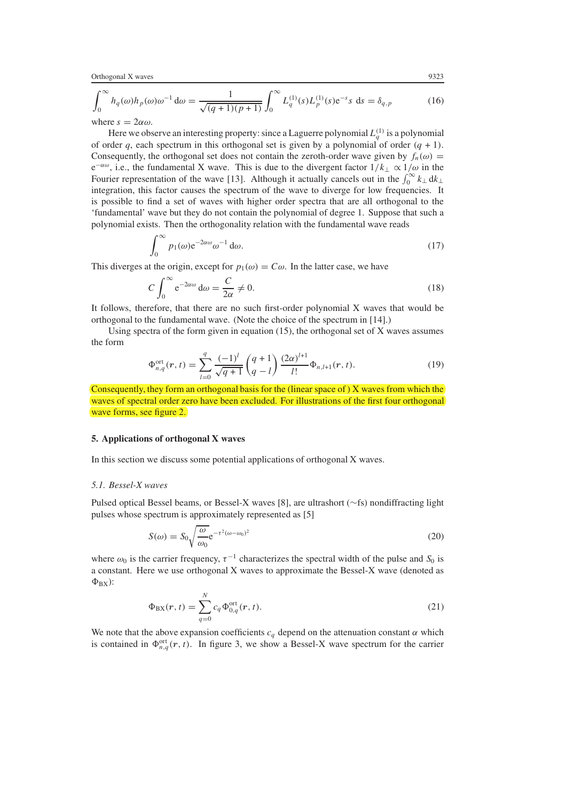Orthogonal X waves 9323

$$
\int_0^\infty h_q(\omega) h_p(\omega) \omega^{-1} d\omega = \frac{1}{\sqrt{(q+1)(p+1)}} \int_0^\infty L_q^{(1)}(s) L_p^{(1)}(s) e^{-s} s \, ds = \delta_{q,p} \tag{16}
$$

where  $s = 2\alpha\omega$ .

Here we observe an interesting property: since a Laguerre polynomial  $L_q^{(1)}$  is a polynomial<br>rder a each spectrum in this orthogonal set is given by a polynomial of order  $(a + 1)$ of order *q*, each spectrum in this orthogonal set is given by a polynomial of order  $(q + 1)$ . Consequently, the orthogonal set does not contain the zeroth-order wave given by  $f_n(\omega)$  = <sup>e</sup><sup>−</sup>*αω*, i.e., the fundamental X wave. This is due to the divergent factor 1*/k*<sup>⊥</sup> <sup>∝</sup> <sup>1</sup>*/ω* in the Fourier representation of the wave [13]. Although it actually cancels out in the  $\int_0^\infty k_\perp dk_\perp$ integration, this factor causes the spectrum of the wave to diverge for low frequencies. It is possible to find a set of waves with higher order spectra that are all orthogonal to the 'fundamental' wave but they do not contain the polynomial of degree 1. Suppose that such a polynomial exists. Then the orthogonality relation with the fundamental wave reads

$$
\int_0^\infty p_1(\omega) e^{-2\alpha \omega} \omega^{-1} d\omega.
$$
 (17)

This diverges at the origin, except for  $p_1(\omega) = C\omega$ . In the latter case, we have

$$
C \int_0^\infty e^{-2\alpha \omega} d\omega = \frac{C}{2\alpha} \neq 0. \tag{18}
$$

2*α* It follows, therefore, that there are no such first-order polynomial X waves that would be orthogonal to the fundamental wave. (Note the choice of the spectrum in [14].)

Using spectra of the form given in equation  $(15)$ , the orthogonal set of X waves assumes the form

$$
\Phi_{n,q}^{\text{ort}}(r,t) = \sum_{l=0}^{q} \frac{(-1)^l}{\sqrt{q+1}} \begin{pmatrix} q+1\\q-l \end{pmatrix} \frac{(2\alpha)^{l+1}}{l!} \Phi_{n,l+1}(r,t). \tag{19}
$$

Consequently, they form an orthogonal basis for the  $($ [linear space of  $)$  X waves from which the waves of spectral order zero have been excluded. For illustrations of the first four orthogonal wave forms, see figure $(2)$ .

#### **5. Applications of orthogonal X waves**

In this section we discuss some potential applications of orthogonal X waves.

## *5.1. Bessel-X waves*

Pulsed optical Bessel beams, or Bessel-X waves [8], are ultrashort (∼fs) nondiffracting light pulses whose spectrum is approximately represented as [5]

$$
S(\omega) = S_0 \sqrt{\frac{\omega}{\omega_0}} e^{-\tau^2 (\omega - \omega_0)^2}
$$
 (20)

where  $\omega_0$  is the carrier frequency,  $\tau^{-1}$  characterizes the spectral width of the pulse and *S*<sub>0</sub> is<br>a constant. Here we use orthogonal *X* waves to approximate the Bessel-*X* wave (denoted as a constant. Here we use orthogonal X waves to approximate the Bessel-X wave (denoted as  $\Phi_{\rm BX}$ ):

$$
\Phi_{\rm BX}(r,t) = \sum_{q=0}^{N} c_q \Phi_{0,q}^{\rm ort}(r,t).
$$
\n(21)

We note that the above expansion coefficients  $c_q$  depend on the attenuation constant  $\alpha$  which is contained in  $\Phi_{n,q}^{\text{ort}}(r, t)$ . In figure 3, we show a Bessel-X wave spectrum for the carrier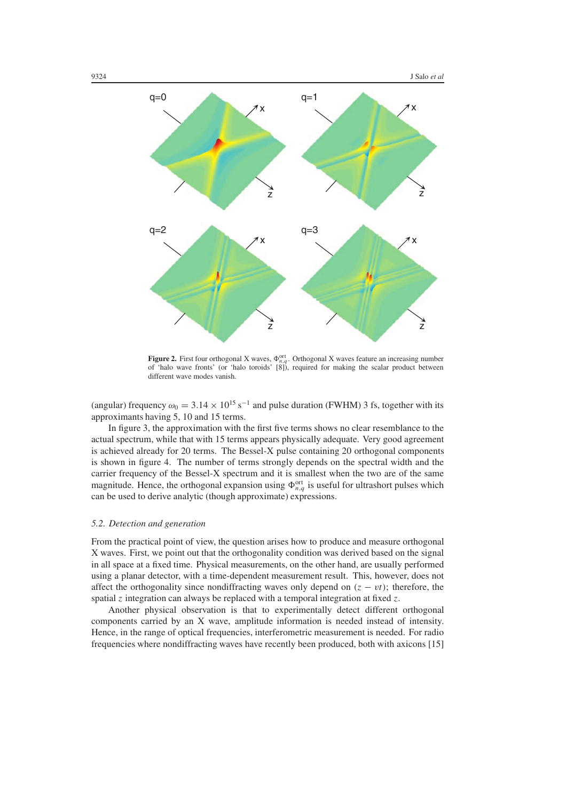

**Figure 2.** First four orthogonal X waves,  $\Phi_{n,q}^{\text{ort}}$ . Orthogonal X waves feature an increasing number of the scalar product between of 'halo wave fronts' (or 'halo toroids' [8]), required for making the scalar product between different wave modes vanish.

(angular) frequency  $\omega_0 = 3.14 \times 10^{15} \text{ s}^{-1}$  and pulse duration (FWHM) 3 fs, together with its approximants having 5, 10 and 15 terms.

In figure 3, the approximation with the first five terms shows no clear resemblance to the actual spectrum, while that with 15 terms appears physically adequate. Very good agreement is achieved already for 20 terms. The Bessel-X pulse containing 20 orthogonal components is shown in figure 4. The number of terms strongly depends on the spectral width and the carrier frequency of the Bessel-X spectrum and it is smallest when the two are of the same magnitude. Hence, the orthogonal expansion using  $\Phi_{n,q}^{\text{ort}}$  is useful for ultrashort pulses which<br>can be used to derive analytic (though approximate) expressions can be used to derive analytic (though approximate) expressions.

### *5.2. Detection and generation*

From the practical point of view, the question arises how to produce and measure orthogonal X waves. First, we point out that the orthogonality condition was derived based on the signal in all space at a fixed time. Physical measurements, on the other hand, are usually performed using a planar detector, with a time-dependent measurement result. This, however, does not affect the orthogonality since nondiffracting waves only depend on  $(z - vt)$ ; therefore, the spatial *z* integration can always be replaced with a temporal integration at fixed *z*.

Another physical observation is that to experimentally detect different orthogonal components carried by an X wave, amplitude information is needed instead of intensity. Hence, in the range of optical frequencies, interferometric measurement is needed. For radio frequencies where nondiffracting waves have recently been produced, both with axicons [15]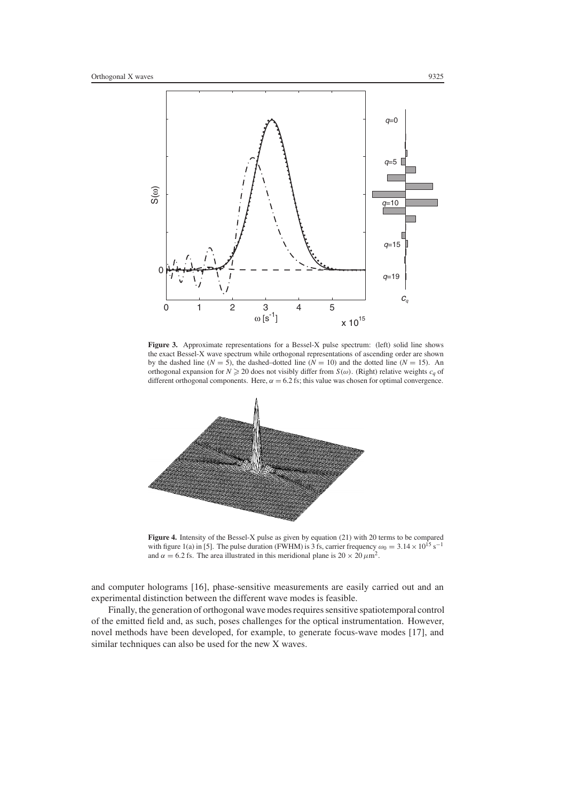

**Figure 3.** Approximate representations for a Bessel-X pulse spectrum: (left) solid line shows the exact Bessel-X wave spectrum while orthogonal representations of ascending order are shown by the dashed line ( $N = 5$ ), the dashed–dotted line ( $N = 10$ ) and the dotted line ( $N = 15$ ). An orthogonal expansion for  $N \ge 20$  does not visibly differ from  $S(\omega)$ . (Right) relative weights  $c_q$  of different orthogonal components. Here,  $\alpha = 6.2$  fs; this value was chosen for optimal convergence.



**Figure 4.** Intensity of the Bessel-X pulse as given by equation (21) with 20 terms to be compared with figure 1(a) in [5]. The pulse duration (FWHM) is 3 fs, carrier frequency  $\omega_0 = 3.14 \times 10^{15} \text{ s}^{-1}$ and  $\alpha = 6.2$  fs. The area illustrated in this meridional plane is  $20 \times 20 \mu m^2$ .

and computer holograms [16], phase-sensitive measurements are easily carried out and an experimental distinction between the different wave modes is feasible.

Finally, the generation of orthogonal wave modes requires sensitive spatiotemporal control of the emitted field and, as such, poses challenges for the optical instrumentation. However, novel methods have been developed, for example, to generate focus-wave modes [17], and similar techniques can also be used for the new X waves.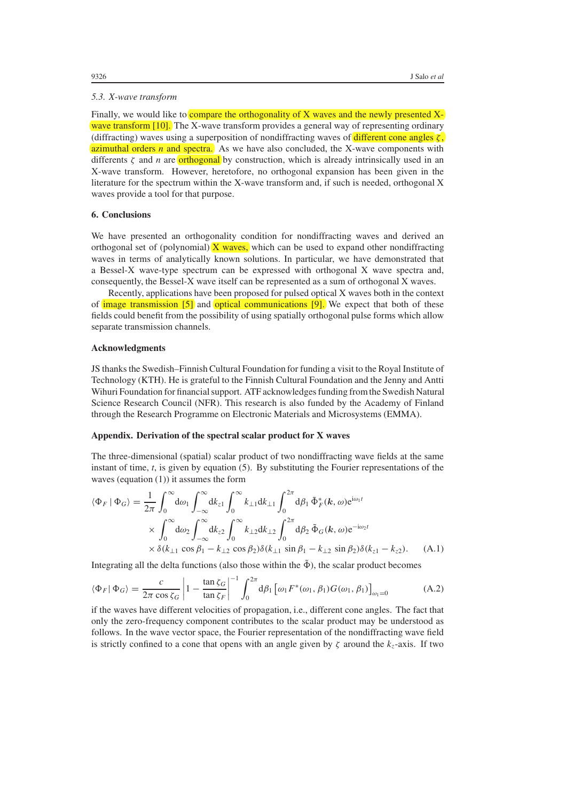#### *5.3. X-wave transform*

Finally, we would like to compare the orthogonality of X waves and the newly presented Xwave transform [10]. The X-wave transform provides a general way of representing ordinary (diffracting) waves using a superposition of nondiffracting waves of different cone angles *ζ* , azimuthal orders *n* and spectra. As we have also concluded, the X-wave components with differents  $\zeta$  and *n* are orthogonal by construction, which is already intrinsically used in an X-wave transform. However, heretofore, no orthogonal expansion has been given in the literature for the spectrum within the X-wave transform and, if such is needed, orthogonal X waves provide a tool for that purpose.

### **6. Conclusions**

We have presented an orthogonality condition for nondiffracting waves and derived an orthogonal set of (polynomial)  $(X$  waves, which can be used to expand other nondiffracting waves in terms of analytically known solutions. In particular, we have demonstrated that a Bessel-X wave-type spectrum can be expressed with orthogonal X wave spectra and, consequently, the Bessel-X wave itself can be represented as a sum of orthogonal X waves.

Recently, applications have been proposed for pulsed optical X waves both in the context of  $\langle$ image transmission  $[5]$  and  $\langle$ optical communications  $[9]$ . We expect that both of these fields could benefit from the possibility of using spatially orthogonal pulse forms which allow separate transmission channels.

### **Acknowledgments**

JS thanks the Swedish–Finnish Cultural Foundation for funding a visit to the Royal Institute of Technology (KTH). He is grateful to the Finnish Cultural Foundation and the Jenny and Antti Wihuri Foundation for financial support. ATF acknowledges funding from the Swedish Natural Science Research Council (NFR). This research is also funded by the Academy of Finland through the Research Programme on Electronic Materials and Microsystems (EMMA).

### **Appendix. Derivation of the spectral scalar product for X waves**

The three-dimensional (spatial) scalar product of two nondiffracting wave fields at the same instant of time, *t*, is given by equation (5). By substituting the Fourier representations of the waves (equation (1)) it assumes the form

$$
\langle \Phi_F | \Phi_G \rangle = \frac{1}{2\pi} \int_0^\infty d\omega_1 \int_{-\infty}^\infty dk_{z1} \int_0^\infty k_{\perp 1} dk_{\perp 1} \int_0^{2\pi} d\beta_1 \, \tilde{\Phi}_F^*(\mathbf{k}, \omega) e^{i\omega_1 t}
$$
  
 
$$
\times \int_0^\infty d\omega_2 \int_{-\infty}^\infty dk_{z2} \int_0^\infty k_{\perp 2} dk_{\perp 2} \int_0^{2\pi} d\beta_2 \, \tilde{\Phi}_G(\mathbf{k}, \omega) e^{-i\omega_2 t}
$$
  
 
$$
\times \delta(k_{\perp 1} \cos \beta_1 - k_{\perp 2} \cos \beta_2) \delta(k_{\perp 1} \sin \beta_1 - k_{\perp 2} \sin \beta_2) \delta(k_{z1} - k_{z2}). \tag{A.1}
$$

Integrating all the delta functions (also those within the  $\tilde{\Phi}$ ), the scalar product becomes

$$
\langle \Phi_F | \Phi_G \rangle = \frac{c}{2\pi \cos \zeta_G} \left| 1 - \frac{\tan \zeta_G}{\tan \zeta_F} \right|^{-1} \int_0^{2\pi} d\beta_1 \left[ \omega_1 F^*(\omega_1, \beta_1) G(\omega_1, \beta_1) \right]_{\omega_1 = 0}
$$
 (A.2)  
if the waves have different velocities of propagation, i.e., different cone angles. The fact that

only the zero-frequency component contributes to the scalar product may be understood as follows. In the wave vector space, the Fourier representation of the nondiffracting wave field is strictly confined to a cone that opens with an angle given by  $\zeta$  around the  $k_z$ -axis. If two